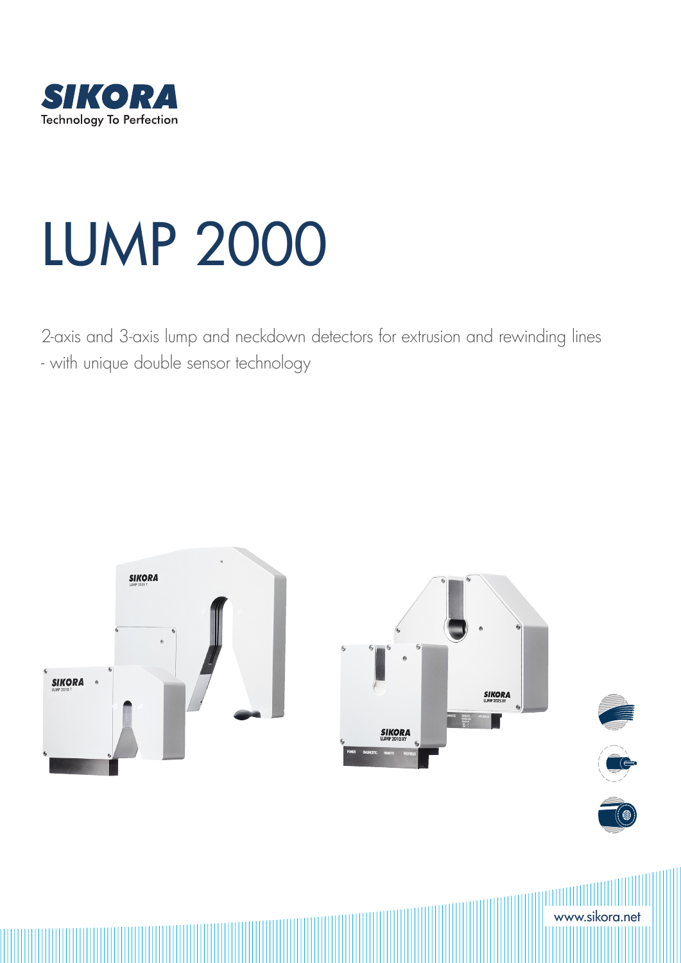

# LUMP 2000

2-axis and 3-axis lump and neckdown detectors for extrusion and rewinding lines - with unique double sensor technology

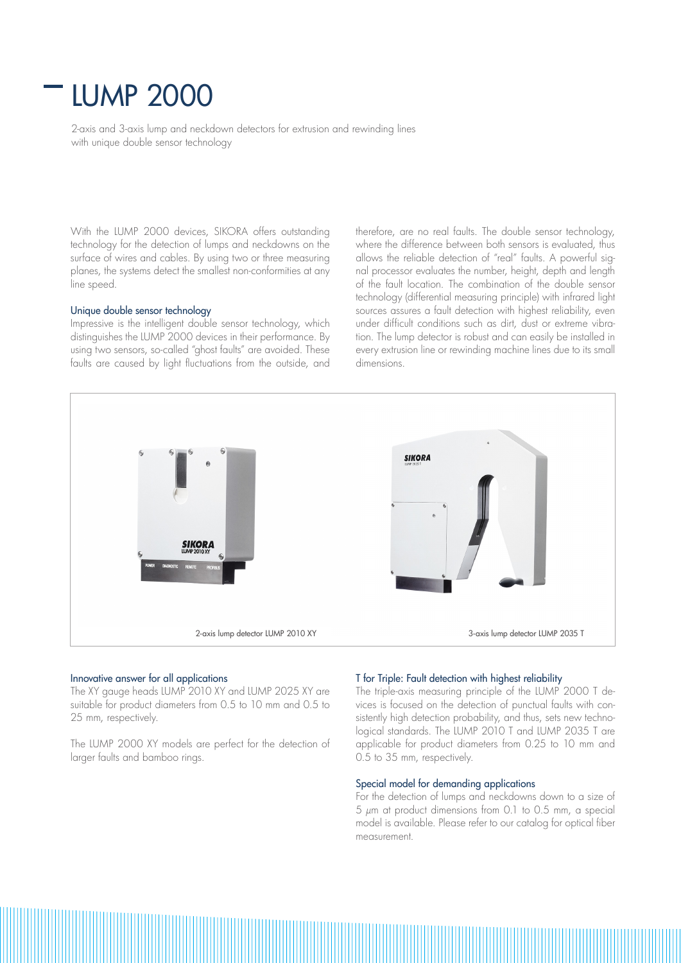## LUMP 2000

2-axis and 3-axis lump and neckdown detectors for extrusion and rewinding lines with unique double sensor technology

With the LUMP 2000 devices, SIKORA offers outstanding technology for the detection of lumps and neckdowns on the surface of wires and cables. By using two or three measuring planes, the systems detect the smallest non-conformities at any line speed.

#### Unique double sensor technology

Impressive is the intelligent double sensor technology, which distinguishes the LUMP 2000 devices in their performance. By using two sensors, so-called "ghost faults" are avoided. These faults are caused by light fluctuations from the outside, and therefore, are no real faults. The double sensor technology, where the difference between both sensors is evaluated, thus allows the reliable detection of "real" faults. A powerful signal processor evaluates the number, height, depth and length of the fault location. The combination of the double sensor technology (differential measuring principle) with infrared light sources assures a fault detection with highest reliability, even under difficult conditions such as dirt, dust or extreme vibration. The lump detector is robust and can easily be installed in every extrusion line or rewinding machine lines due to its small dimensions.



#### Innovative answer for all applications

The XY gauge heads LUMP 2010 XY and LUMP 2025 XY are suitable for product diameters from 0.5 to 10 mm and 0.5 to 25 mm, respectively.

The LUMP 2000 XY models are perfect for the detection of larger faults and bamboo rings.

#### T for Triple: Fault detection with highest reliability

The triple-axis measuring principle of the LUMP 2000 T devices is focused on the detection of punctual faults with consistently high detection probability, and thus, sets new technological standards. The LUMP 2010 T and LUMP 2035 T are applicable for product diameters from 0.25 to 10 mm and 0.5 to 35 mm, respectively.

#### Special model for demanding applications

For the detection of lumps and neckdowns down to a size of  $5 \mu m$  at product dimensions from 0.1 to 0.5 mm, a special model is available. Please refer to our catalog for optical fiber measurement.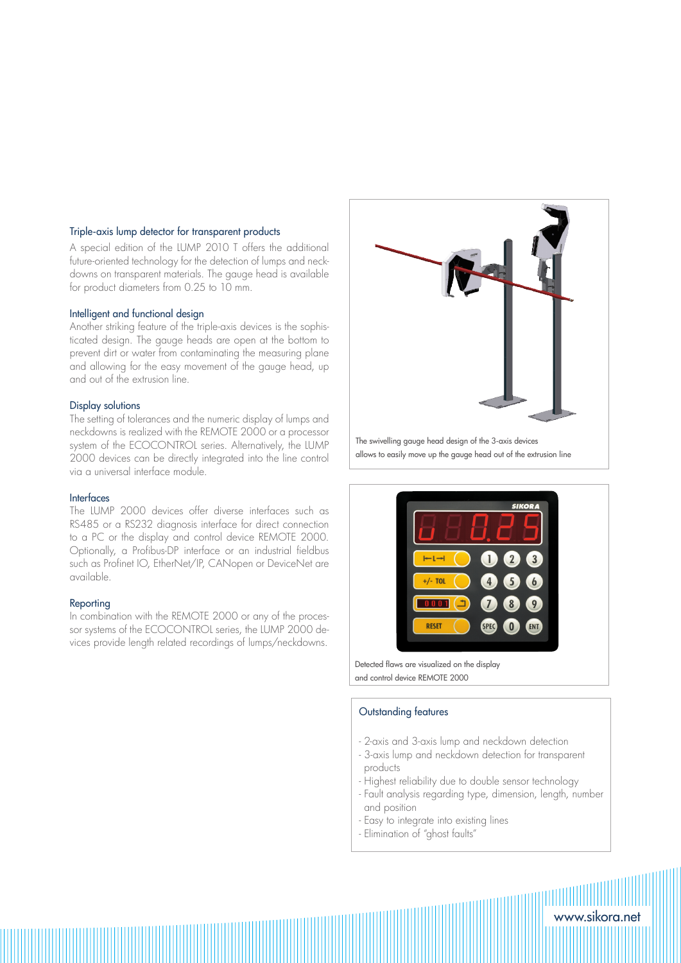#### Triple-axis lump detector for transparent products

A special edition of the LUMP 2010 T offers the additional future-oriented technology for the detection of lumps and neckdowns on transparent materials. The gauge head is available for product diameters from 0.25 to 10 mm.

#### Intelligent and functional design

Another striking feature of the triple-axis devices is the sophisticated design. The gauge heads are open at the bottom to prevent dirt or water from contaminating the measuring plane and allowing for the easy movement of the gauge head, up and out of the extrusion line.

#### Display solutions

The setting of tolerances and the numeric display of lumps and neckdowns is realized with the REMOTE 2000 or a processor system of the ECOCONTROL series. Alternatively, the LUMP 2000 devices can be directly integrated into the line control via a universal interface module.

#### Interfaces

The LUMP 2000 devices offer diverse interfaces such as RS485 or a RS232 diagnosis interface for direct connection to a PC or the display and control device REMOTE 2000. Optionally, a Profibus-DP interface or an industrial fieldbus such as Profinet IO, EtherNet/IP, CANopen or DeviceNet are available.

#### Reporting

In combination with the REMOTE 2000 or any of the processor systems of the ECOCONTROL series, the LUMP 2000 devices provide length related recordings of lumps/neckdowns.



The swivelling gauge head design of the 3-axis devices allows to easily move up the gauge head out of the extrusion line



Detected flaws are visualized on the display and control device REMOTE 2000

#### Outstanding features

- 2-axis and 3-axis lump and neckdown detection
- 3-axis lump and neckdown detection for transparent products
- Highest reliability due to double sensor technology
- Fault analysis regarding type, dimension, length, number and position

www.sikora.net

- Easy to integrate into existing lines
- Elimination of "ghost faults"